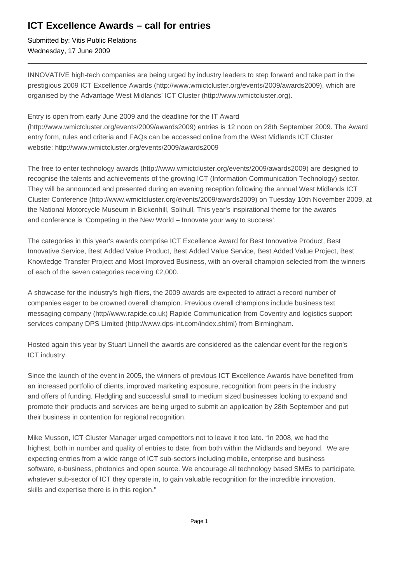## **ICT Excellence Awards – call for entries**

Submitted by: Vitis Public Relations Wednesday, 17 June 2009

INNOVATIVE high-tech companies are being urged by industry leaders to step forward and take part in the prestigious 2009 ICT Excellence Awards (http://www.wmictcluster.org/events/2009/awards2009), which are organised by the Advantage West Midlands' ICT Cluster (http://www.wmictcluster.org).

Entry is open from early June 2009 and the deadline for the IT Award (http://www.wmictcluster.org/events/2009/awards2009) entries is 12 noon on 28th September 2009. The Award

entry form, rules and criteria and FAQs can be accessed online from the West Midlands ICT Cluster website: http://www.wmictcluster.org/events/2009/awards2009

The free to enter technology awards (http://www.wmictcluster.org/events/2009/awards2009) are designed to recognise the talents and achievements of the growing ICT (Information Communication Technology) sector. They will be announced and presented during an evening reception following the annual West Midlands ICT Cluster Conference (http://www.wmictcluster.org/events/2009/awards2009) on Tuesday 10th November 2009, at the National Motorcycle Museum in Bickenhill, Solihull. This year's inspirational theme for the awards and conference is 'Competing in the New World – Innovate your way to success'.

The categories in this year's awards comprise ICT Excellence Award for Best Innovative Product, Best Innovative Service, Best Added Value Product, Best Added Value Service, Best Added Value Project, Best Knowledge Transfer Project and Most Improved Business, with an overall champion selected from the winners of each of the seven categories receiving £2,000.

A showcase for the industry's high-fliers, the 2009 awards are expected to attract a record number of companies eager to be crowned overall champion. Previous overall champions include business text messaging company (http//www.rapide.co.uk) Rapide Communication from Coventry and logistics support services company DPS Limited (http://www.dps-int.com/index.shtml) from Birmingham.

Hosted again this year by Stuart Linnell the awards are considered as the calendar event for the region's ICT industry.

Since the launch of the event in 2005, the winners of previous ICT Excellence Awards have benefited from an increased portfolio of clients, improved marketing exposure, recognition from peers in the industry and offers of funding. Fledgling and successful small to medium sized businesses looking to expand and promote their products and services are being urged to submit an application by 28th September and put their business in contention for regional recognition.

Mike Musson, ICT Cluster Manager urged competitors not to leave it too late. "In 2008, we had the highest, both in number and quality of entries to date, from both within the Midlands and beyond. We are expecting entries from a wide range of ICT sub-sectors including mobile, enterprise and business software, e-business, photonics and open source. We encourage all technology based SMEs to participate, whatever sub-sector of ICT they operate in, to gain valuable recognition for the incredible innovation, skills and expertise there is in this region."